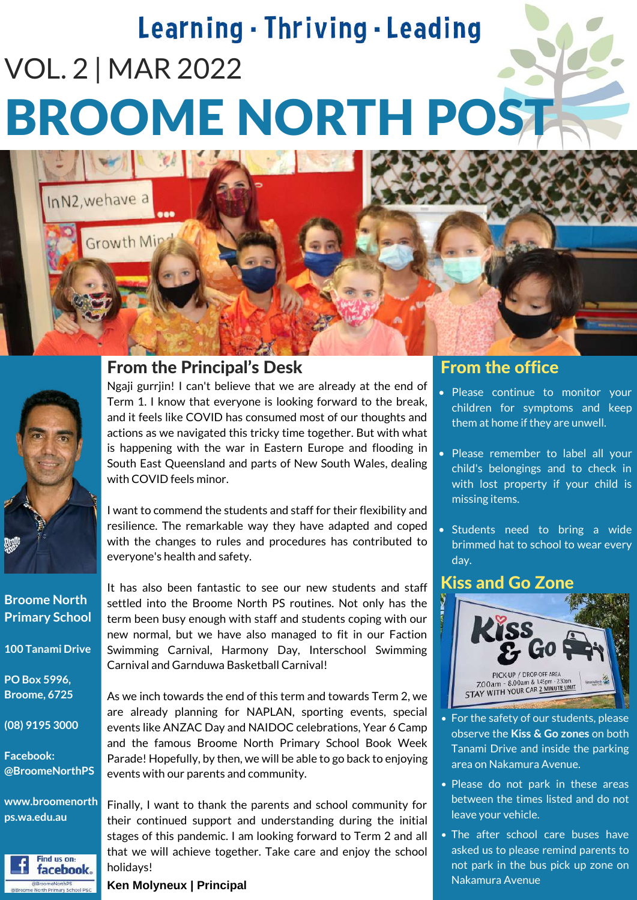# Learning - Thriving - Leading VOL. 2 | MAR 2022 BROOME NORTH POST



InN2, we have a

Growth Min

**Broome North Primary School**

**100 Tanami Drive**

**PO Box 5996, Broome, 6725**

**(08) 9195 3000**

**Facebook: @BroomeNorthPS**

**www.broomenorth ps.wa.edu.au**



## From the Principal's Desk

Ngaji gurrjin! I can't believe that we are already at the end of Term 1. I know that everyone is looking forward to the break, and it feels like COVID has consumed most of our thoughts and actions as we navigated this tricky time together. But with what is happening with the war in Eastern Europe and flooding in South East Queensland and parts of New South Wales, dealing with COVID feels minor.

I want to commend the students and staff for their flexibility and resilience. The remarkable way they have adapted and coped with the changes to rules and procedures has contributed to everyone's health and safety.

It has also been fantastic to see our new students and staff settled into the Broome North PS routines. Not only has the term been busy enough with staff and students coping with our new normal, but we have also managed to fit in our Faction Swimming Carnival, Harmony Day, Interschool Swimming Carnival and Garnduwa Basketball Carnival!

As we inch towards the end of this term and towards Term 2, we are already planning for NAPLAN, sporting events, special events like ANZAC Day and NAIDOC celebrations, Year 6 Camp and the famous Broome North Primary School Book Week Parade! Hopefully, by then, we will be able to go back to enjoying events with our parents and community.

Finally, I want to thank the parents and school community for their continued support and understanding during the initial stages of this pandemic. I am looking forward to Term 2 and all that we will achieve together. Take care and enjoy the school holidays!

#### **Ken Molyneux | Principal**

## From the office

- Please continue to monitor your children for symptoms and keep them at home if they are unwell.
- Please remember to label all your child's belongings and to check in with lost property if your child is missing items.
- Students need to bring a wide brimmed hat to school to wear every day.

## Kiss and Go Zone



- For the safety of our students, please observe the **Kiss & Go zones** on both Tanami Drive and inside the parking area on Nakamura Avenue.
- Please do not park in these areas between the times listed and do not leave your vehicle.
- The after school care buses have asked us to please remind parents to not park in the bus pick up zone on Nakamura Avenue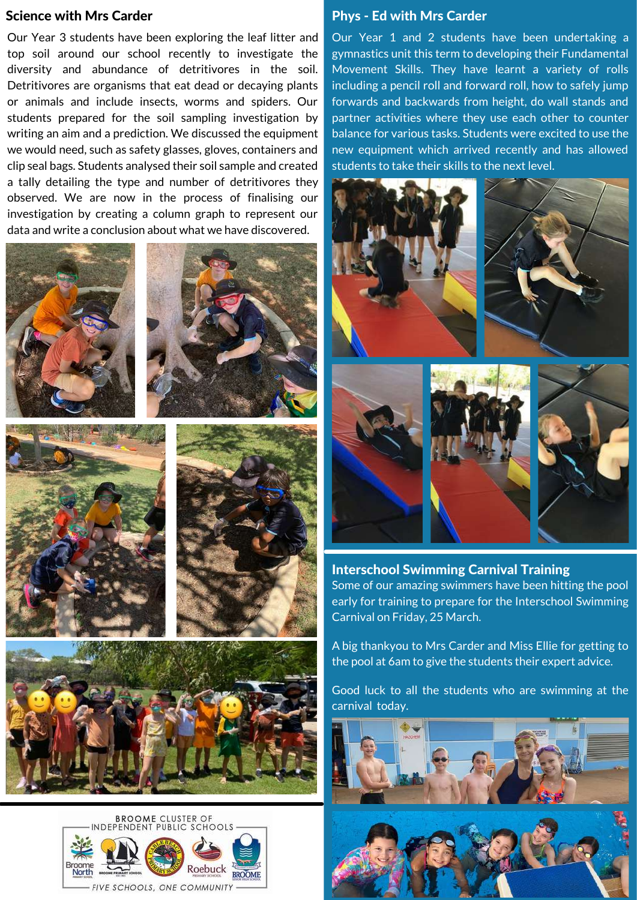#### Science with Mrs Carder

Our Year 3 students have been exploring the leaf litter and top soil around our school recently to investigate the diversity and abundance of detritivores in the soil. Detritivores are organisms that eat dead or decaying plants or animals and include insects, worms and spiders. Our students prepared for the soil sampling investigation by writing an aim and a prediction. We discussed the equipment we would need, such as safety glasses, gloves, containers and clip seal bags. Students analysed their soil sample and created a tally detailing the type and number of detritivores they observed. We are now in the process of finalising our investigation by creating a column graph to represent our data and write a conclusion about what we have discovered.













#### Phys - Ed with Mrs Carder

Our Year 1 and 2 students have been undertaking a gymnastics unit this term to developing their Fundamental Movement Skills. They have learnt a variety of rolls including a pencil roll and forward roll, how to safely jump forwards and backwards from height, do wall stands and partner activities where they use each other to counter balance for various tasks. Students were excited to use the new equipment which arrived recently and has allowed students to take their skills to the next level.



Interschool Swimming Carnival Training Some of our amazing swimmers have been hitting the pool early for training to prepare for the Interschool Swimming Carnival on Friday, 25 March.

A big thankyou to Mrs Carder and Miss Ellie for getting to the pool at 6am to give the students their expert advice.

Good luck to all the students who are swimming at the carnival today.

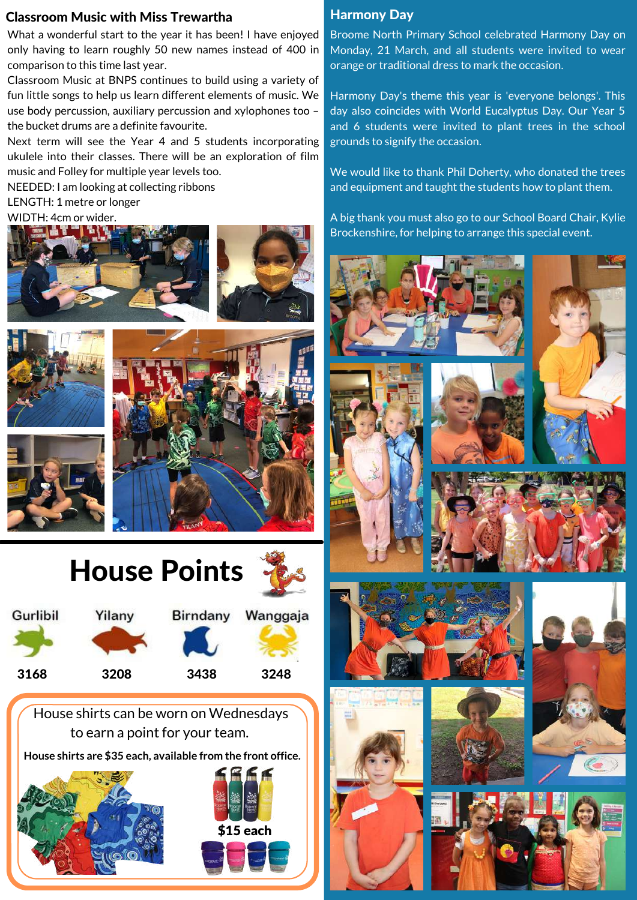### Classroom Music with Miss Trewartha

What a wonderful start to the year it has been! I have enjoyed only having to learn roughly 50 new names instead of 400 in comparison to this time last year.

Classroom Music at BNPS continues to build using a variety of fun little songs to help us learn different elements of music. We use body percussion, auxiliary percussion and xylophones too – the bucket drums are a definite favourite.

Next term will see the Year 4 and 5 students incorporating ukulele into their classes. There will be an exploration of film music and Folley for multiple year levels too.

NEEDED: I am looking at collecting ribbons

LENGTH: 1 metre or longer

#### WIDTH: 4cm or wider.









House shirts can be worn on Wednesdays to earn a point for your team.

**House shirts are \$35 each, available from the front office.**





### Harmony Day

Broome North Primary School celebrated Harmony Day on Monday, 21 March, and all students were invited to wear orange or traditional dress to mark the occasion. The mass

Harmony Day's theme this year is 'everyone belongs'. This day also coincides with World Eucalyptus Day. Our Year 5 and 6 students were invited to plant trees in the school grounds to signify the occasion.

We would like to thank Phil Doherty, who donated the trees and equipment and taught the students how to plant them.

A big thank you must also go to our School Board Chair, Kylie Brockenshire, for helping to arrange this special event.